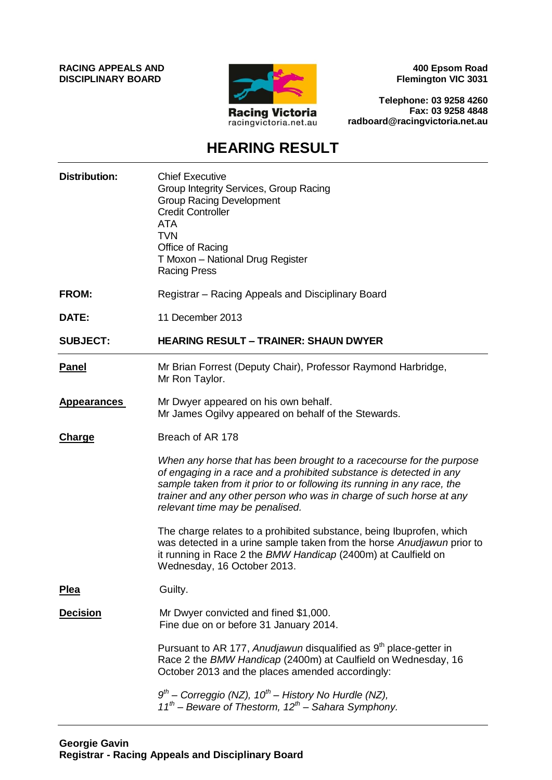**RACING APPEALS AND DISCIPLINARY BOARD**



**400 Epsom Road Flemington VIC 3031**

**Telephone: 03 9258 4260 Fax: 03 9258 4848 radboard@racingvictoria.net.au**

# **HEARING RESULT**

| <b>Distribution:</b> | <b>Chief Executive</b><br>Group Integrity Services, Group Racing<br><b>Group Racing Development</b><br><b>Credit Controller</b><br><b>ATA</b><br><b>TVN</b><br>Office of Racing<br>T Moxon - National Drug Register<br><b>Racing Press</b>                                                                                       |
|----------------------|----------------------------------------------------------------------------------------------------------------------------------------------------------------------------------------------------------------------------------------------------------------------------------------------------------------------------------|
| <b>FROM:</b>         | Registrar – Racing Appeals and Disciplinary Board                                                                                                                                                                                                                                                                                |
| DATE:                | 11 December 2013                                                                                                                                                                                                                                                                                                                 |
| <b>SUBJECT:</b>      | <b>HEARING RESULT - TRAINER: SHAUN DWYER</b>                                                                                                                                                                                                                                                                                     |
| <b>Panel</b>         | Mr Brian Forrest (Deputy Chair), Professor Raymond Harbridge,<br>Mr Ron Taylor.                                                                                                                                                                                                                                                  |
| <b>Appearances</b>   | Mr Dwyer appeared on his own behalf.<br>Mr James Ogilvy appeared on behalf of the Stewards.                                                                                                                                                                                                                                      |
| <b>Charge</b>        | Breach of AR 178                                                                                                                                                                                                                                                                                                                 |
|                      | When any horse that has been brought to a racecourse for the purpose<br>of engaging in a race and a prohibited substance is detected in any<br>sample taken from it prior to or following its running in any race, the<br>trainer and any other person who was in charge of such horse at any<br>relevant time may be penalised. |
|                      | The charge relates to a prohibited substance, being Ibuprofen, which<br>was detected in a urine sample taken from the horse Anudjawun prior to<br>it running in Race 2 the BMW Handicap (2400m) at Caulfield on<br>Wednesday, 16 October 2013.                                                                                   |
| <u>Plea</u>          | Guilty.                                                                                                                                                                                                                                                                                                                          |
| <b>Decision</b>      | Mr Dwyer convicted and fined \$1,000.<br>Fine due on or before 31 January 2014.                                                                                                                                                                                                                                                  |
|                      | Pursuant to AR 177, Anudjawun disqualified as 9 <sup>th</sup> place-getter in<br>Race 2 the BMW Handicap (2400m) at Caulfield on Wednesday, 16<br>October 2013 and the places amended accordingly:                                                                                                                               |
|                      | $9th$ – Correggio (NZ), 10 <sup>th</sup> – History No Hurdle (NZ),<br>$11^{th}$ – Beware of Thestorm, $12^{th}$ – Sahara Symphony.                                                                                                                                                                                               |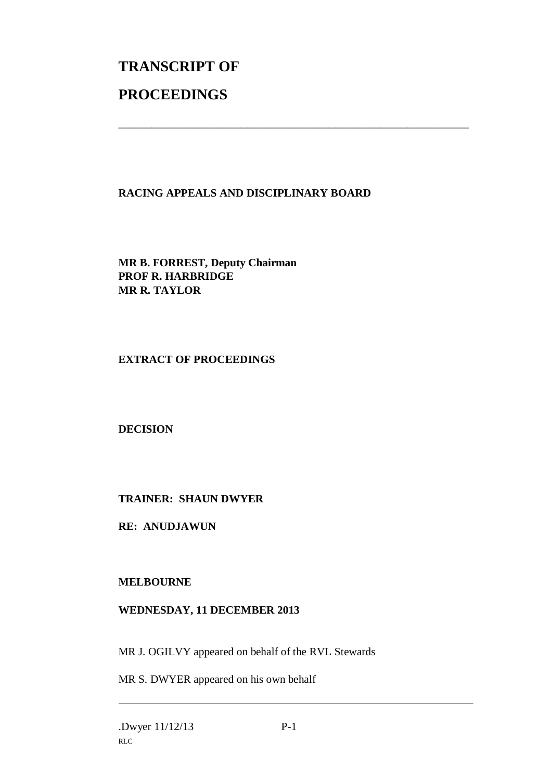# **TRANSCRIPT OF PROCEEDINGS**

## **RACING APPEALS AND DISCIPLINARY BOARD**

\_\_\_\_\_\_\_\_\_\_\_\_\_\_\_\_\_\_\_\_\_\_\_\_\_\_\_\_\_\_\_\_\_\_\_\_\_\_\_\_\_\_\_\_\_\_\_\_\_\_\_\_\_\_\_\_\_\_\_\_\_\_\_

**MR B. FORREST, Deputy Chairman PROF R. HARBRIDGE MR R. TAYLOR**

#### **EXTRACT OF PROCEEDINGS**

**DECISION**

## **TRAINER: SHAUN DWYER**

**RE: ANUDJAWUN**

#### **MELBOURNE**

#### **WEDNESDAY, 11 DECEMBER 2013**

MR J. OGILVY appeared on behalf of the RVL Stewards

MR S. DWYER appeared on his own behalf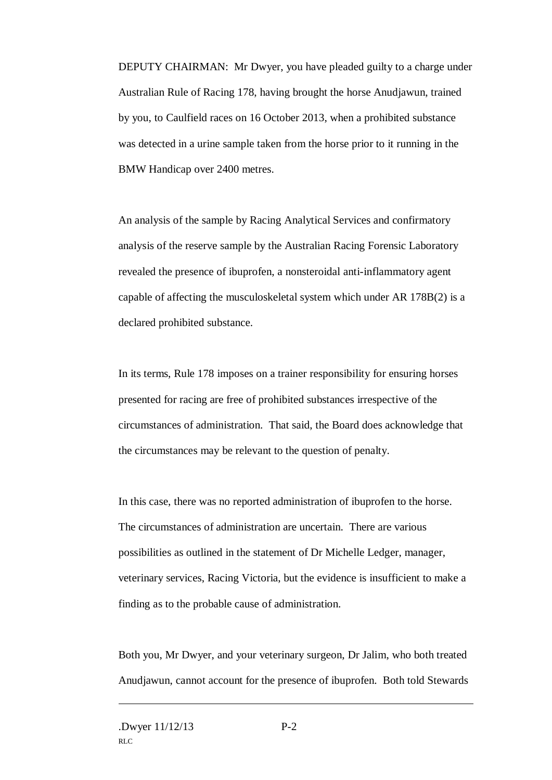DEPUTY CHAIRMAN: Mr Dwyer, you have pleaded guilty to a charge under Australian Rule of Racing 178, having brought the horse Anudjawun, trained by you, to Caulfield races on 16 October 2013, when a prohibited substance was detected in a urine sample taken from the horse prior to it running in the BMW Handicap over 2400 metres.

An analysis of the sample by Racing Analytical Services and confirmatory analysis of the reserve sample by the Australian Racing Forensic Laboratory revealed the presence of ibuprofen, a nonsteroidal anti-inflammatory agent capable of affecting the musculoskeletal system which under AR 178B(2) is a declared prohibited substance.

In its terms, Rule 178 imposes on a trainer responsibility for ensuring horses presented for racing are free of prohibited substances irrespective of the circumstances of administration. That said, the Board does acknowledge that the circumstances may be relevant to the question of penalty.

In this case, there was no reported administration of ibuprofen to the horse. The circumstances of administration are uncertain. There are various possibilities as outlined in the statement of Dr Michelle Ledger, manager, veterinary services, Racing Victoria, but the evidence is insufficient to make a finding as to the probable cause of administration.

Both you, Mr Dwyer, and your veterinary surgeon, Dr Jalim, who both treated Anudjawun, cannot account for the presence of ibuprofen. Both told Stewards